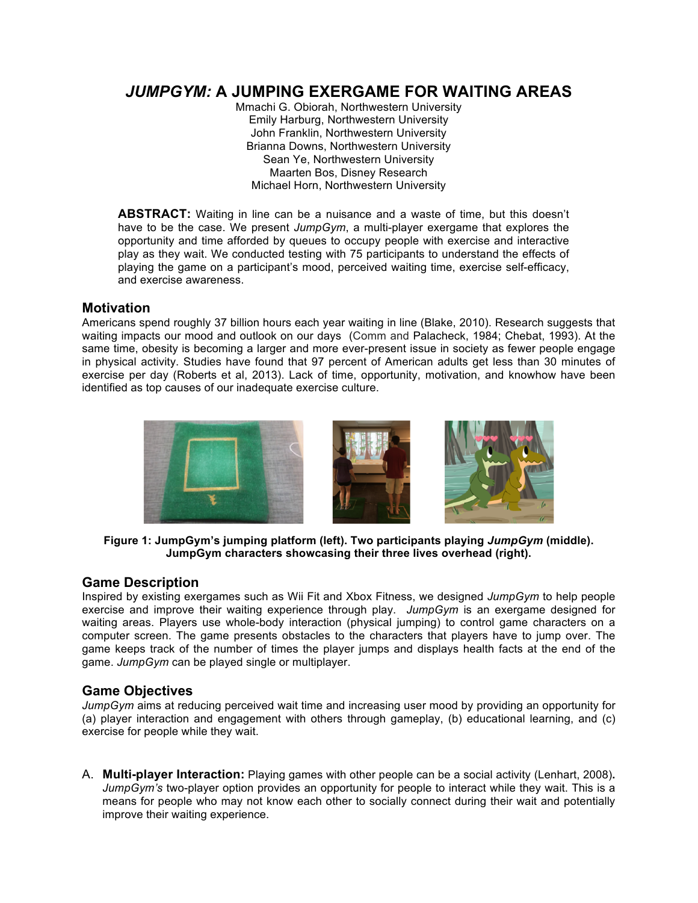# *JUMPGYM:* **A JUMPING EXERGAME FOR WAITING AREAS**

Mmachi G. Obiorah, Northwestern University Emily Harburg, Northwestern University John Franklin, Northwestern University Brianna Downs, Northwestern University Sean Ye, Northwestern University Maarten Bos, Disney Research Michael Horn, Northwestern University

**ABSTRACT:** Waiting in line can be a nuisance and a waste of time, but this doesn't have to be the case. We present *JumpGym*, a multi-player exergame that explores the opportunity and time afforded by queues to occupy people with exercise and interactive play as they wait. We conducted testing with 75 participants to understand the effects of playing the game on a participant's mood, perceived waiting time, exercise self-efficacy, and exercise awareness.

### **Motivation**

Americans spend roughly 37 billion hours each year waiting in line (Blake, 2010). Research suggests that waiting impacts our mood and outlook on our days (Comm and Palacheck, 1984; Chebat, 1993). At the same time, obesity is becoming a larger and more ever-present issue in society as fewer people engage in physical activity. Studies have found that 97 percent of American adults get less than 30 minutes of exercise per day (Roberts et al, 2013). Lack of time, opportunity, motivation, and knowhow have been identified as top causes of our inadequate exercise culture.



**Figure 1: JumpGym's jumping platform (left). Two participants playing** *JumpGym* **(middle). JumpGym characters showcasing their three lives overhead (right).**

# **Game Description**

Inspired by existing exergames such as Wii Fit and Xbox Fitness, we designed *JumpGym* to help people exercise and improve their waiting experience through play. *JumpGym* is an exergame designed for waiting areas. Players use whole-body interaction (physical jumping) to control game characters on a computer screen. The game presents obstacles to the characters that players have to jump over. The game keeps track of the number of times the player jumps and displays health facts at the end of the game. *JumpGym* can be played single or multiplayer.

# **Game Objectives**

*JumpGym* aims at reducing perceived wait time and increasing user mood by providing an opportunity for (a) player interaction and engagement with others through gameplay, (b) educational learning, and (c) exercise for people while they wait.

A. **Multi-player Interaction:** Playing games with other people can be a social activity (Lenhart, 2008)**.**  *JumpGym's* two-player option provides an opportunity for people to interact while they wait. This is a means for people who may not know each other to socially connect during their wait and potentially improve their waiting experience.